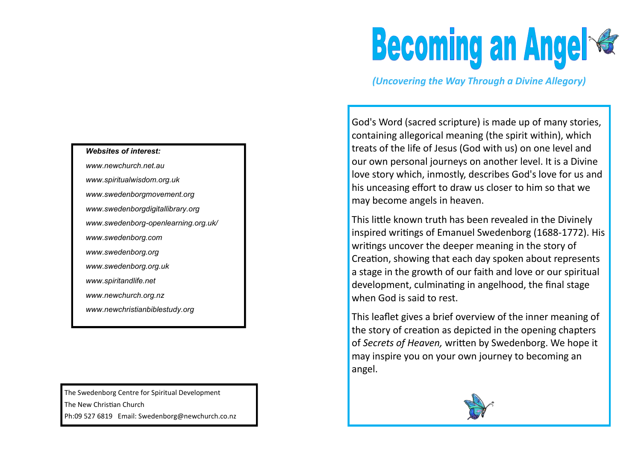## *Websites of interest:*

*www.newchurch.net.au [www.spiritualwisdom.org.uk](http://www.spiritualwisdom.org.uk/) [www.swedenborgmovement.org](http://www.swedenborgmovement.org/) [www.swedenborgdigitallibrary.org](http://www.swedenborgdigitallibrary.org/) www.swedenborg-openlearning.org.uk/ [www.swedenborg.com](http://www.swedenborg.com/) www.swedenborg.org [www.swedenborg.org.uk](http://www.swedenborg.org.uk/) www.spiritandlife.net www.newchurch.org.nz www.newchristianbiblestudy.org*

The Swedenborg Centre for Spiritual Development The New Christian Church Ph:09 527 6819 Email: Swedenborg@newchurch.co.nz

## **Becoming an Angel &**

*(Uncovering the Way Through a Divine Allegory)*

God's Word (sacred scripture) is made up of many stories, containing allegorical meaning (the spirit within), which treats of the life of Jesus (God with us) on one level and our own personal journeys on another level. It is a Divine love story which, inmostly, describes God's love for us and his unceasing effort to draw us closer to him so that we may become angels in heaven.

This little known truth has been revealed in the Divinely inspired writings of Emanuel Swedenborg (1688-1772). His writings uncover the deeper meaning in the story of Creation, showing that each day spoken about represents a stage in the growth of our faith and love or our spiritual development, culminating in angelhood, the final stage when God is said to rest.

This leaflet gives a brief overview of the inner meaning of the story of creation as depicted in the opening chapters of *Secrets of Heaven,* written by Swedenborg. We hope it may inspire you on your own journey to becoming an angel.